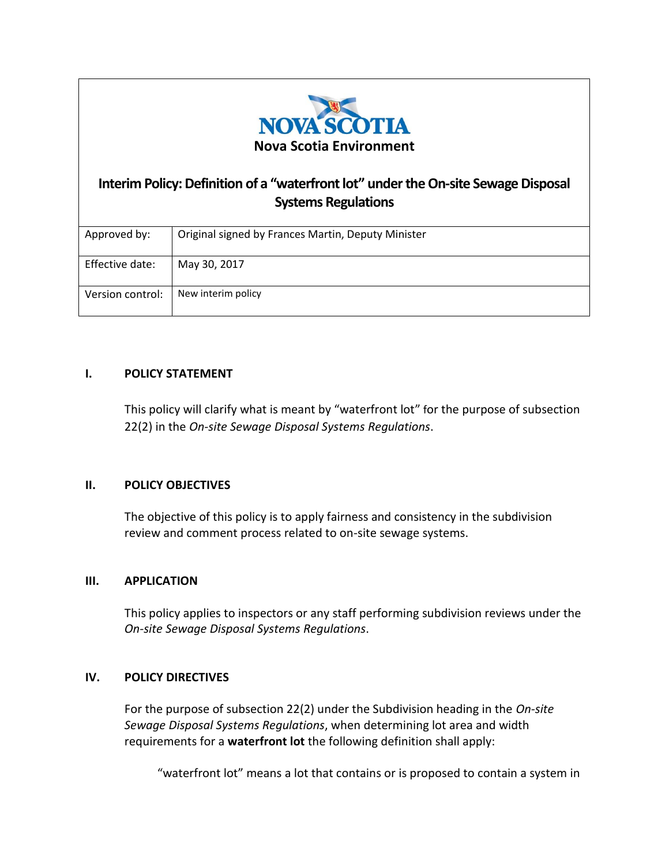

# **Interim Policy: Definition of a "waterfront lot" under the On-site Sewage Disposal Systems Regulations**

| Approved by:     | Original signed by Frances Martin, Deputy Minister |
|------------------|----------------------------------------------------|
| Effective date:  | May 30, 2017                                       |
| Version control: | New interim policy                                 |

## **I. POLICY STATEMENT**

This policy will clarify what is meant by "waterfront lot" for the purpose of subsection 22(2) in the *On-site Sewage Disposal Systems Regulations*.

## **II. POLICY OBJECTIVES**

The objective of this policy is to apply fairness and consistency in the subdivision review and comment process related to on-site sewage systems.

## **III. APPLICATION**

This policy applies to inspectors or any staff performing subdivision reviews under the *On-site Sewage Disposal Systems Regulations*.

## **IV. POLICY DIRECTIVES**

For the purpose of subsection 22(2) under the Subdivision heading in the *On-site Sewage Disposal Systems Regulations*, when determining lot area and width requirements for a **waterfront lot** the following definition shall apply:

"waterfront lot" means a lot that contains or is proposed to contain a system in